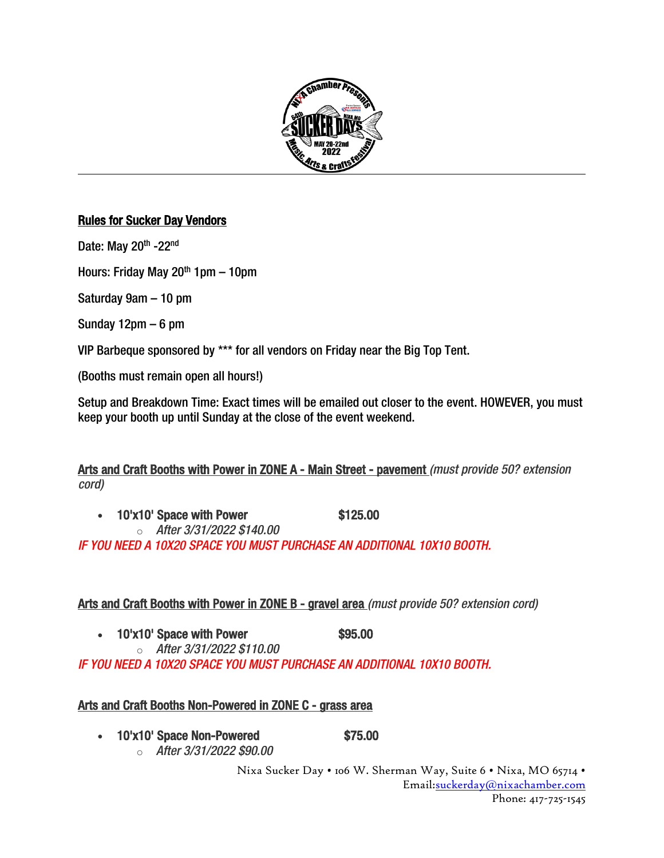

l,

# Rules for Sucker Day Vendors

Date: May 20<sup>th</sup> -22<sup>nd</sup>

Hours: Friday May 20<sup>th</sup> 1pm  $-$  10pm

Saturday 9am – 10 pm

Sunday 12pm – 6 pm

VIP Barbeque sponsored by \*\*\* for all vendors on Friday near the Big Top Tent.

(Booths must remain open all hours!)

Setup and Breakdown Time: Exact times will be emailed out closer to the event. HOWEVER, you must keep your booth up until Sunday at the close of the event weekend.

Arts and Craft Booths with Power in ZONE A - Main Street - pavement *(must provide 50? extension cord)*

• 10'x10' Space with Power \$125.00 o *After 3/31/2022 \$140.00*

*IF YOU NEED A 10X20 SPACE YOU MUST PURCHASE AN ADDITIONAL 10X10 BOOTH.*

Arts and Craft Booths with Power in ZONE B - gravel area *(must provide 50? extension cord)*

- 10'x10' Space with Power \$95.00
	- o *After 3/31/2022 \$110.00*

*IF YOU NEED A 10X20 SPACE YOU MUST PURCHASE AN ADDITIONAL 10X10 BOOTH.*

# Arts and Craft Booths Non-Powered in ZONE C - grass area

- 10'x10' Space Non-Powered \$75.00
	- o *After 3/31/2022 \$90.00*

Nixa Sucker Day • 106 W. Sherman Way, Suite 6 • Nixa, MO 65714 • Email[:suckerday@nixachamber.com](mailto:suckerday@nixachamber.com) Phone: 417-725-1545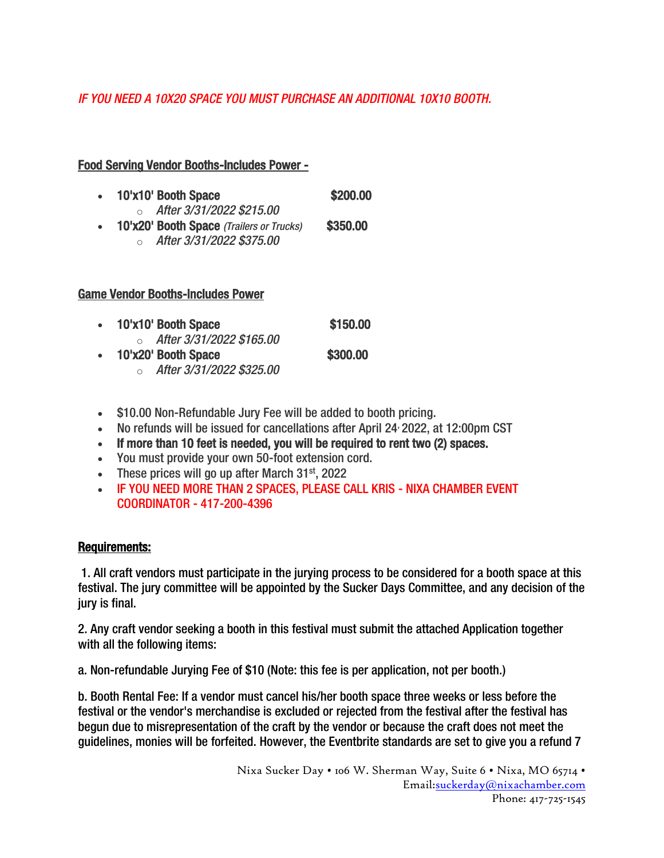# *IF YOU NEED A 10X20 SPACE YOU MUST PURCHASE AN ADDITIONAL 10X10 BOOTH.*

### Food Serving Vendor Booths-Includes Power -

- 10'x10' Booth Space \$200.00 o *After 3/31/2022 \$215.00* • 10'x20' Booth Space *(Trailers or Trucks)* \$350.00
	- o *After 3/31/2022 \$375.00*

### Game Vendor Booths-Includes Power

- 10'x10' Booth Space \$150.00 o *After 3/31/2022 \$165.00*  $\bullet$  10'x20' Booth Space  $$300.00$ o *After 3/31/2022 \$325.00*
- \$10.00 Non-Refundable Jury Fee will be added to booth pricing.
- No refunds will be issued for cancellations after April 24, 2022, at 12:00pm CST
- If more than 10 feet is needed, you will be required to rent two (2) spaces.
- You must provide your own 50-foot extension cord.
- These prices will go up after March  $31<sup>st</sup>$ , 2022
- IF YOU NEED MORE THAN 2 SPACES, PLEASE CALL KRIS NIXA CHAMBER EVENT COORDINATOR - 417-200-4396

### Requirements:

1. All craft vendors must participate in the jurying process to be considered for a booth space at this festival. The jury committee will be appointed by the Sucker Days Committee, and any decision of the jury is final.

2. Any craft vendor seeking a booth in this festival must submit the attached Application together with all the following items:

a. Non-refundable Jurying Fee of \$10 (Note: this fee is per application, not per booth.)

b. Booth Rental Fee: If a vendor must cancel his/her booth space three weeks or less before the festival or the vendor's merchandise is excluded or rejected from the festival after the festival has begun due to misrepresentation of the craft by the vendor or because the craft does not meet the guidelines, monies will be forfeited. However, the Eventbrite standards are set to give you a refund 7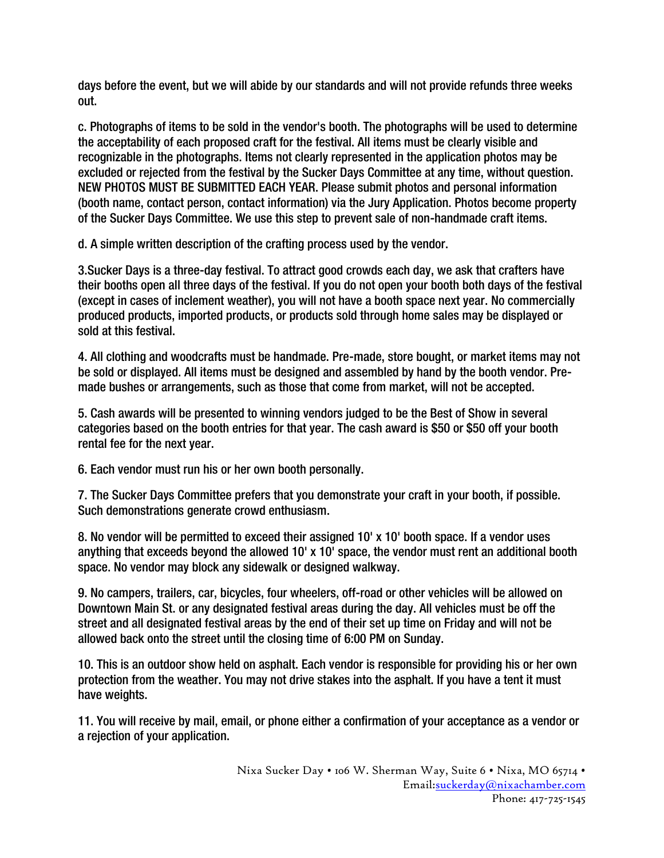days before the event, but we will abide by our standards and will not provide refunds three weeks out.

c. Photographs of items to be sold in the vendor's booth. The photographs will be used to determine the acceptability of each proposed craft for the festival. All items must be clearly visible and recognizable in the photographs. Items not clearly represented in the application photos may be excluded or rejected from the festival by the Sucker Days Committee at any time, without question. NEW PHOTOS MUST BE SUBMITTED EACH YEAR. Please submit photos and personal information (booth name, contact person, contact information) via the Jury Application. Photos become property of the Sucker Days Committee. We use this step to prevent sale of non-handmade craft items.

d. A simple written description of the crafting process used by the vendor.

3.Sucker Days is a three-day festival. To attract good crowds each day, we ask that crafters have their booths open all three days of the festival. If you do not open your booth both days of the festival (except in cases of inclement weather), you will not have a booth space next year. No commercially produced products, imported products, or products sold through home sales may be displayed or sold at this festival.

4. All clothing and woodcrafts must be handmade. Pre-made, store bought, or market items may not be sold or displayed. All items must be designed and assembled by hand by the booth vendor. Premade bushes or arrangements, such as those that come from market, will not be accepted.

5. Cash awards will be presented to winning vendors judged to be the Best of Show in several categories based on the booth entries for that year. The cash award is \$50 or \$50 off your booth rental fee for the next year.

6. Each vendor must run his or her own booth personally.

7. The Sucker Days Committee prefers that you demonstrate your craft in your booth, if possible. Such demonstrations generate crowd enthusiasm.

8. No vendor will be permitted to exceed their assigned 10' x 10' booth space. If a vendor uses anything that exceeds beyond the allowed 10' x 10' space, the vendor must rent an additional booth space. No vendor may block any sidewalk or designed walkway.

9. No campers, trailers, car, bicycles, four wheelers, off-road or other vehicles will be allowed on Downtown Main St. or any designated festival areas during the day. All vehicles must be off the street and all designated festival areas by the end of their set up time on Friday and will not be allowed back onto the street until the closing time of 6:00 PM on Sunday.

10. This is an outdoor show held on asphalt. Each vendor is responsible for providing his or her own protection from the weather. You may not drive stakes into the asphalt. If you have a tent it must have weights.

11. You will receive by mail, email, or phone either a confirmation of your acceptance as a vendor or a rejection of your application.